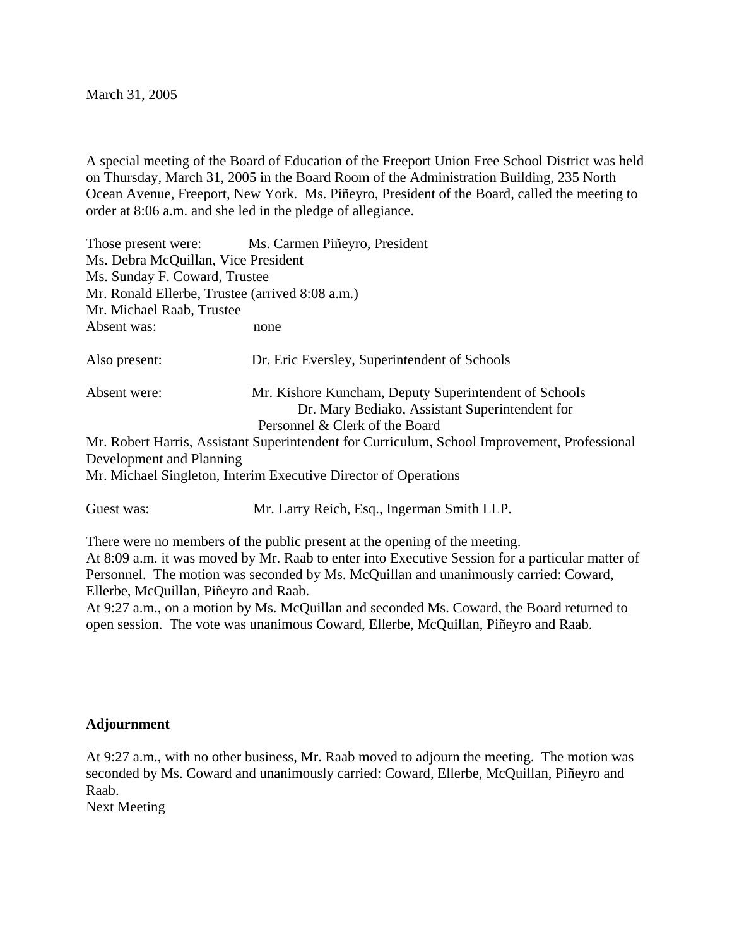March 31, 2005

A special meeting of the Board of Education of the Freeport Union Free School District was held on Thursday, March 31, 2005 in the Board Room of the Administration Building, 235 North Ocean Avenue, Freeport, New York. Ms. Piñeyro, President of the Board, called the meeting to order at 8:06 a.m. and she led in the pledge of allegiance.

|                                                                                                                          | Those present were: Ms. Carmen Piñeyro, President                                                       |
|--------------------------------------------------------------------------------------------------------------------------|---------------------------------------------------------------------------------------------------------|
| Ms. Debra McQuillan, Vice President                                                                                      |                                                                                                         |
| Ms. Sunday F. Coward, Trustee                                                                                            |                                                                                                         |
| Mr. Ronald Ellerbe, Trustee (arrived 8:08 a.m.)                                                                          |                                                                                                         |
| Mr. Michael Raab, Trustee                                                                                                |                                                                                                         |
| Absent was:                                                                                                              | none                                                                                                    |
| Also present:                                                                                                            | Dr. Eric Eversley, Superintendent of Schools                                                            |
| Absent were:                                                                                                             | Mr. Kishore Kuncham, Deputy Superintendent of Schools<br>Dr. Mary Bediako, Assistant Superintendent for |
|                                                                                                                          | Personnel & Clerk of the Board                                                                          |
| Mr. Robert Harris, Assistant Superintendent for Curriculum, School Improvement, Professional<br>Development and Planning |                                                                                                         |
| Mr. Michael Singleton, Interim Executive Director of Operations                                                          |                                                                                                         |
| Guest was:                                                                                                               | Mr. Larry Reich, Esq., Ingerman Smith LLP.                                                              |
|                                                                                                                          | There were no members of the public present at the opening of the meeting.                              |

At 8:09 a.m. it was moved by Mr. Raab to enter into Executive Session for a particular matter of Personnel. The motion was seconded by Ms. McQuillan and unanimously carried: Coward, Ellerbe, McQuillan, Piñeyro and Raab.

At 9:27 a.m., on a motion by Ms. McQuillan and seconded Ms. Coward, the Board returned to open session. The vote was unanimous Coward, Ellerbe, McQuillan, Piñeyro and Raab.

## **Adjournment**

At 9:27 a.m., with no other business, Mr. Raab moved to adjourn the meeting. The motion was seconded by Ms. Coward and unanimously carried: Coward, Ellerbe, McQuillan, Piñeyro and Raab. Next Meeting